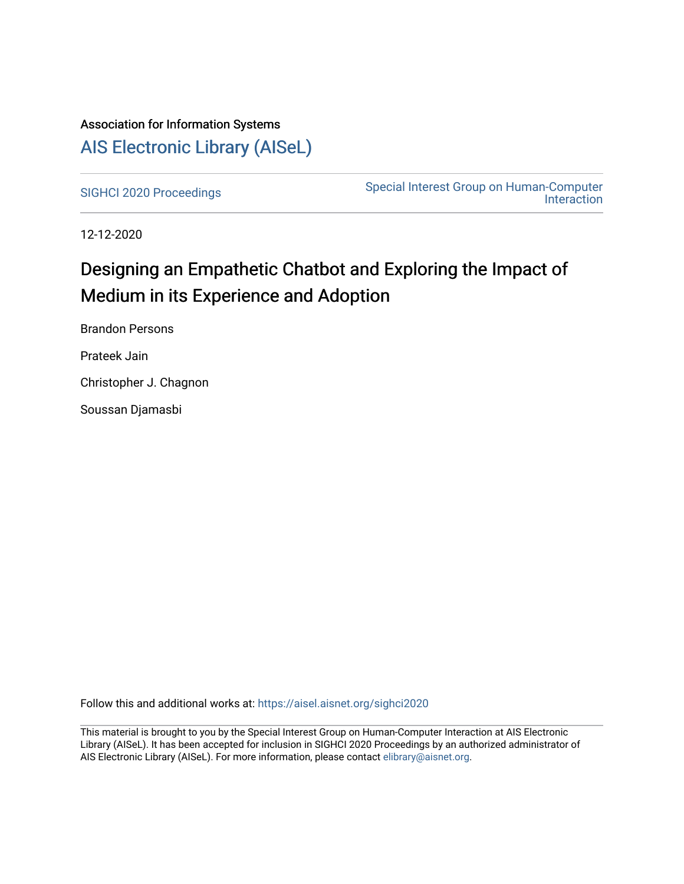### Association for Information Systems [AIS Electronic Library \(AISeL\)](https://aisel.aisnet.org/)

[SIGHCI 2020 Proceedings](https://aisel.aisnet.org/sighci2020) [Special Interest Group on Human-Computer](https://aisel.aisnet.org/sighci)  [Interaction](https://aisel.aisnet.org/sighci) 

12-12-2020

# Designing an Empathetic Chatbot and Exploring the Impact of Medium in its Experience and Adoption

Brandon Persons Prateek Jain

Christopher J. Chagnon

Soussan Djamasbi

Follow this and additional works at: [https://aisel.aisnet.org/sighci2020](https://aisel.aisnet.org/sighci2020?utm_source=aisel.aisnet.org%2Fsighci2020%2F21&utm_medium=PDF&utm_campaign=PDFCoverPages) 

This material is brought to you by the Special Interest Group on Human-Computer Interaction at AIS Electronic Library (AISeL). It has been accepted for inclusion in SIGHCI 2020 Proceedings by an authorized administrator of AIS Electronic Library (AISeL). For more information, please contact [elibrary@aisnet.org](mailto:elibrary@aisnet.org%3E).